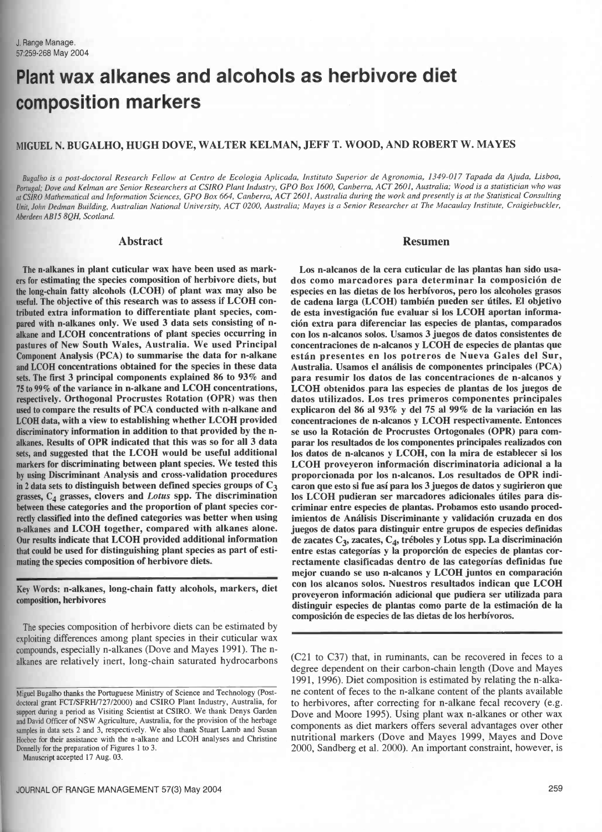# Plant wax alkanes and alcohols as herbivore diet composition markers

# MIGUEL N. BUGALHO, HUGH DOVE, WALTER KELMAN, JEFF T. WOOD, AND ROBERT W. MAYES

Bugalho is a post- doctoral Research Fellow at Centro de Ecologia Aplicada, Instituto Superior de Agronomia, 1349 -017 Tapada da Ajuda, Lisboa, Portugal; Dove and Kelman are Senior Researchers at CSIRO Plant Industry, GPO Box 1600, Canberra, ACT 2601, Australia; Wood is a statistician who was at CSIRO Mathematical and Information Sciences, GPO Box 664, Canberra, ACT 2601, Australia during the work and presently is at the Statistical Consulting Unit, John Dedman Building, Australian National University, ACT 0200, Australia; Mayes is a Senior Researcher at The Macaulay Institute, Craigiebuckler, Aberdeen AB15 8QH, Scotland.

The n-alkanes in plant cuticular wax have been used as markers for estimating the species composition of herbivore diets, but the long -chain fatty alcohols (LCOH) of plant wax may also be useful. The objective of this research was to assess if LCOH contributed extra information to differentiate plant species, compared with n-alkanes only. We used 3 data sets consisting of nalkane and LCOH concentrations of plant species occurring in pastures of New South Wales, Australia. We used Principal Component Analysis (PCA) to summarise the data for n- alkane and LCOH concentrations obtained for the species in these data sets. The first 3 principal components explained 86 to 93% and 75 to 99% of the variance in n- alkane and LCOH concentrations, respectively. Orthogonal Procrustes Rotation (OPR) was then used to compare the results of PCA conducted with n-alkane and LCOH data, with a view to establishing whether LCOH provided discriminatory information in addition to that provided by the nalkanes. Results of OPR indicated that this was so for all 3 data sets, and suggested that the LCOH would be useful additional markers for discriminating between plant species. We tested this by using Discriminant Analysis and cross - validation procedures in 2 data sets to distinguish between defined species groups of  $C_3$ grasses,  $C_4$  grasses, clovers and Lotus spp. The discrimination between these categories and the proportion of plant species correctly classified into the defined categories was better when using n- alkanes and LCOH together, compared with alkanes alone. Our results indicate that LCOH provided additional information that could be used for distinguishing plant species as part of estimating the species composition of herbivore diets.

Key Words: n-alkanes, long-chain fatty alcohols, markers, diet composition, herbivores

The species composition of herbivore diets can be estimated by exploiting differences among plant species in their cuticular wax compounds, especially n- alkanes (Dove and Mayes 1991). The nalkanes are relatively inert, long -chain saturated hydrocarbons

Miguel Bugalho thanks the Portuguese Ministry of Science and Technology (Postdoctoral grant FCT/SFRH/727/2000) and CSIRO Plant Industry, Australia, for support during a period as Visiting Scientist at CSIRO. We thank Denys Garden and David Officer of NSW Agriculture, Australia, for the provision of the herbage samples in data sets 2 and 3, respectively. We also thank Stuart Lamb and Susan Hoebee for their assistance with the n-alkane and LCOH analyses and Christine Donnelly for the preparation of Figures 1 to 3.

Manuscript accepted 17 Aug. 03.

Los n- alcanos de la cera cuticular de las plantas han sido usados como marcadores para determinar la composición de especies en las dietas de los herbívoros, pero los alcoholes grasos de cadena larga (LCOH) también pueden ser útiles. El objetivo de esta investigación fue evaluar si los LCOH aportan información extra para diferenciar las especies de plantas, comparados con los n- alcanos solos. Usamos 3 juegos de datos consistentes de concentraciones de n- alcanos y LCOH de especies de plantas que están presentes en los potreros de Nueva Gales del Sur, Australia. Usamos el análisis de componentes principales (PCA) para resumir los datos de las concentraciones de n- alcanos y LCOH obtenidos para las especies de plantas de los juegos de datos utilizados. Los tres primeros componentes principales explicaron del 86 al 93% y del 75 al 99% de la variación en las concentraciones de n- alcanos y LCOH respectivamente. Entonces se uso la Rotación de Procrustes Ortogonales (OPR) para comparar los resultados de los componentes principales realizados con los datos de n- alcanos y LCOH, con la mira de establecer si los LCOH proveyeron información discriminatoria adicional a la proporcionada por los n- alcanos. Los resultados de OPR indicaron que esto si fue así para los 3 juegos de datos y sugirieron que los LCOH pudieran ser marcadores adicionales útiles para discriminar entre especies de plantas. Probamos esto usando procedimientos de Análisis Discriminante y validación cruzada en dos juegos de datos para distinguir entre grupos de especies definidas de zacates  $C_3$ , zacates,  $C_4$ , tréboles y Lotus spp. La discriminación entre estas categorías y la proporción de especies de plantas correctamente clasificadas dentro de las categorías definidas fue mejor cuando se uso n- alcanos y LCOH juntos en comparación con los alcanos solos. Nuestros resultados indican que LCOH proveyeron información adicional que pudiera ser utilizada para distinguir especies de plantas como parte de la estimación de la composición de especies de las dietas de los herbívoros.

(C21 to C37) that, in ruminants, can be recovered in feces to a degree dependent on their carbon -chain length (Dove and Mayes 1991, 1996). Diet composition is estimated by relating the n-alkane content of feces to the n- alkane content of the plants available to herbivores, after correcting for n-alkane fecal recovery (e.g. Dove and Moore 1995). Using plant wax n-alkanes or other wax components as diet markers offers several advantages over other nutritional markers (Dove and Mayes 1999, Mayes and Dove 2000, Sandberg et al. 2000). An important constraint, however, is

# Abstract **Resument Resument Resument Resument Resument Resument Resument Resument Resument Resument Resument Resument Resument Resument Resument Resument Resument Resument Resument Resument Resument Resument Resument Resum**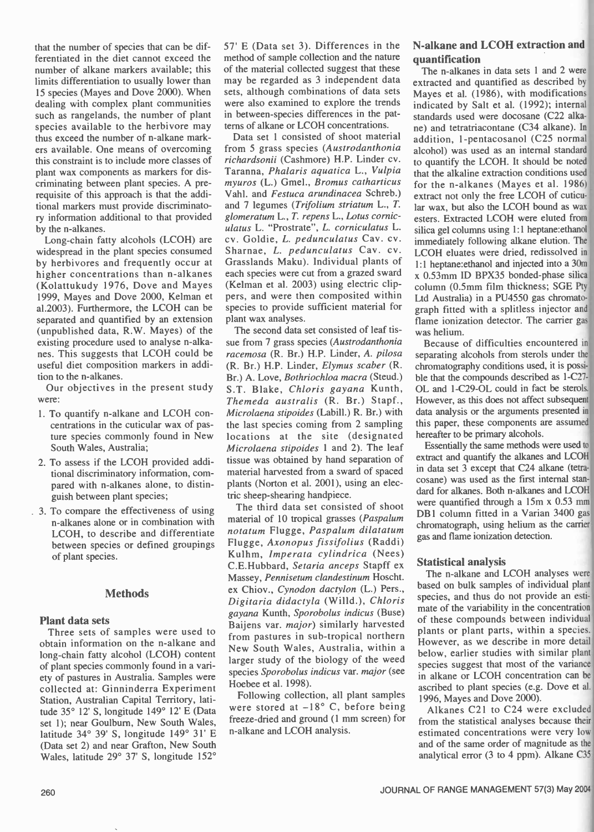that the number of species that can be differentiated in the diet cannot exceed the number of alkane markers available; this limits differentiation to usually lower than 15 species (Mayes and Dove 2000). When dealing with complex plant communities such as rangelands, the number of plant species available to the herbivore may thus exceed the number of n-alkane markers available. One means of overcoming this constraint is to include more classes of plant wax components as markers for discriminating between plant species. A prerequisite of this approach is that the additional markers must provide discriminatory information additional to that provided by the n-alkanes.

widespread in the plant species consumed by herbivores and frequently occur at higher concentrations than n-alkanes (Kolattukudy 1976, Dove and Mayes 1999, Mayes and Dove 2000, Kelman et aí.2003). Furthermore, the LCOH can be separated and quantified by an extension (unpublished data, R.W. Mayes) of the existing procedure used to analyse n-alkanes. This suggests that LCOH could be useful diet composition markers in addition to the n-alkanes.

Our objectives in the present study were:

- 1. To quantify n- alkane and LCOH concentrations in the cuticular wax of pasture species commonly found in New South Wales, Australia;
- 2. To assess if the LCOH provided additional discriminatory information, compared with n-alkanes alone, to distinguish between plant species;
- 3. To compare the effectiveness of using n- alkanes alone or in combination with LCOH, to describe and differentiate between species or defined groupings of plant species.

#### **Methods**

#### Plant data sets

Three sets of samples were used to obtain information on the n- alkane and long-chain fatty alcohol (LCOH) content of plant species commonly found in a variety of pastures in Australia. Samples were collected at: Ginninderra Experiment Station, Australian Capital Territory, latitude 35° 12' S, longitude 149° 12' E (Data set 1); near Goulburn, New South Wales, latitude 34° 39' S, longitude 149° 31' E (Data set 2) and near Grafton, New South Wales, latitude 29° 37' S, longitude 152°

57' E (Data set 3). Differences in the method of sample collection and the nature of the material collected suggest that these may be regarded as 3 independent data sets, although combinations of data sets were also examined to explore the trends in between - species differences in the patterns of alkane or LCOH concentrations.

Long-chain fatty alcohols (LCOH) are cv. Goldie, L. pedunculatus Cav. cv. Data set 1 consisted of shoot material from 5 grass species (Austrodanthonia richardsonii (Cashmore) H.P. Linder cv. Taranna, Phalaris aquatica L., Vulpia myuros (L.) Gmel., Bromus catharticus Vahl. and Festuca arundinacea Schreb.) and 7 legumes (Trifolium striatum L., T. glomeratum L., T. repens L., Lotus comic ulatus L. "Prostrate", L. corniculatus L. Sharnae, L. pedunculatus Cav. cv. Grasslands Maku). Individual plants of each species were cut from a grazed sward (Kelman et al. 2003) using electric clippers, and were then composited within species to provide sufficient material for plant wax analyses.

> The second data set consisted of leaf tissue from 7 grass species (Austrodanthonia racemosa (R. Br.) H.P. Linder, A. pilosa (R. Br.) H.P. Linder, Elymus scaber (R. Br.) A. Love, Bothriochloa macra (Steud.) S.T. Blake, Chloris gayana Kunth, Themeda australis (R. Br.) Stapf., Microlaena stipoides (Labill.) R. Br.) with the last species coming from 2 sampling locations at the site (designated Microlaena stipoides 1 and 2). The leaf tissue was obtained by hand separation of material harvested from a sward of spaced plants (Norton et al. 2001), using an electric sheep - shearing handpiece.

> The third data set consisted of shoot material of 10 tropical grasses (Paspalum notatum Flugge, Paspalum dilatatum Flugge, Axonopus fissifolius (Raddi) Kulhm, Imperata cylindrica (Nees) C.E.Hubbard, Setaria anceps Stapff ex Massey, Pennisetum clandestinum Hoscht. ex Chiov., Cynodon dactylon (L.) Pers., Digitaria didactyla (Willd.), Chloris gayana Kunth, Sporobolus indicus (Buse) Baijens var. major) similarly harvested from pastures in sub-tropical northern New South Wales, Australia, within a larger study of the biology of the weed species Sporobolus indicus var. major (see Hoebee et al. 1998).

> Following collection, all plant samples were stored at  $-18^\circ$  C, before being freeze -dried and ground (1 mm screen) for n -alkane and LCOH analysis.

## N- alkane and LCOH extraction and quantification

The n-alkanes in data sets 1 and 2 were extracted and quantified as described by Mayes et al. (1986), with modifications indicated by Salt et al. (1992); internal standards used were docosane (C22 alkane) and tetratriacontane (C34 alkane). In addition, 1-pentacosanol (C25 normal alcohol) was used as an internal standard to quantify the LCOH. It should be noted that the alkaline extraction conditions used for the n-alkanes (Mayes et al. 1986) extract not only the free LCOH of cuticular wax, but also the LCOH bound as wax esters. Extracted LCOH were eluted from silica gel columns using 1:1 heptane:ethanol immediately following alkane elution. The LCOH eluates were dried, redissolved in 1:1 heptane:ethanol and injected into a 30m x 0.53mm ID BPX35 bonded -phase silica column (0.5mm film thickness; SGE Pty Ltd Australia) in a PU4550 gas chromatograph fitted with a splitless injector and flame ionization detector. The carrier gas was helium.

Because of difficulties encountered in separating alcohols from sterols under the chromatography conditions used, it is possible that the compounds described as 1-C27-OL and 1-C29-0L could in fact be sterols. However, as this does not affect subsequent data analysis or the arguments presented in this paper, these components are assumed hereafter to be primary alcohols.

Essentially the same methods were used to extract and quantify the alkanes and LCOH in data set 3 except that C24 alkane (tetra cosane) was used as the first internal standard for alkanes. Both n-alkanes and LCOH were quantified through a 15m x 0.53 mm DB1 column fitted in a Varian 3400 gas chromatograph, using helium as the carrier gas and flame ionization detection.

#### Statistical analysis

The n-alkane and LCOH analyses were based on bulk samples of individual plant species, and thus do not provide an estimate of the variability in the concentration of these compounds between individual plants or plant parts, within a species. However, as we describe in more detail below, earlier studies with similar plant species suggest that most of the variance in alkane or LCOH concentration can be ascribed to plant species (e.g. Dove et al. 1996, Mayes and Dove 2000).

Alkanes C21 to C24 were excluded from the statistical analyses because their estimated concentrations were very low and of the same order of magnitude as the analytical error (3 to 4 ppm). Alkane C35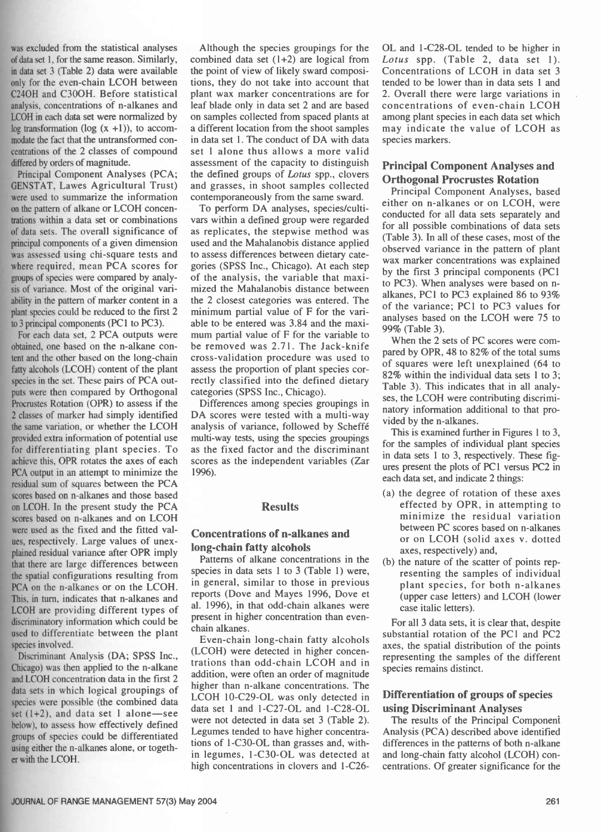was excluded from the statistical analyses of data set 1, for the same reason. Similarly, in data set 3 (Table 2) data were available only for the even -chain LCOH between C240H and C300H. Before statistical analysis, concentrations of n- alkanes and LCOH in each data set were normalized by log transformation (log  $(x + 1)$ ), to accommodate the fact that the untransformed concentrations of the 2 classes of compound differed by orders of magnitude.

Principal Component Analyses (PCA; GENSTAT, Lawes Agricultural Trust) were used to summarize the information on the pattern of alkane or LCOH concentrations within a data set or combinations of data sets. The overall significance of principal components of a given dimension was assessed using chi-square tests and where required, mean PCA scores for groups of species were compared by analysis of variance. Most of the original variability in the pattern of marker content in a plant species could be reduced to the first 2 to 3 principal components (PC1 to PC3).

For each data set, 2 PCA outputs were obtained, one based on the n- alkane content and the other based on the long-chain fatty alcohols (LCOH) content of the plant species in the set. These pairs of PCA outputs were then compared by Orthogonal Procrustes Rotation (OPR) to assess if the 2 classes of marker had simply identified the same variation, or whether the LCOH provided extra information of potential use for differentiating plant species. To achieve this, OPR rotates the axes of each PCA output in an attempt to minimize the residual sum of squares between the PCA scores based on n-alkanes and those based on LCOH. In the present study the PCA scores based on n-alkanes and on LCOH were used as the fixed and the fitted values, respectively. Large values of unexplained residual variance after OPR imply that there are large differences between the spatial configurations resulting from PCA on the n-alkanes or on the LCOH. This, in turn, indicates that n-alkanes and LCOH are providing different types of discriminatory information which could be used to differentiate between the plant species involved.

Discriminant Analysis (DA; SPSS Inc., Chicago) was then applied to the n-alkane and LCOH concentration data in the first 2 data sets in which logical groupings of species were possible (the combined data set  $(1+2)$ , and data set 1 alone - see below), to assess how effectively defined groups of species could be differentiated using either the n-alkanes alone, or together with the LCOH.

combined data set  $(1+2)$  are logical from the point of view of likely sward compositions, they do not take into account that plant wax marker concentrations are for leaf blade only in data set 2 and are based on samples collected from spaced plants at a different location from the shoot samples in data set 1. The conduct of DA with data set 1 alone thus allows a more valid assessment of the capacity to distinguish the defined groups of Lotus spp., clovers and grasses, in shoot samples collected contemporaneously from the same sward.

To perform DA analyses, species/cultivars within a defined group were regarded as replicates, the stepwise method was used and the Mahalanobis distance applied to assess differences between dietary categories (SPSS Inc., Chicago). At each step of the analysis, the variable that maximized the Mahalanobis distance between the 2 closest categories was entered. The minimum partial value of F for the variable to be entered was 3.84 and the maximum partial value of F for the variable to be removed was 2.71. The Jack -knife cross - validation procedure was used to assess the proportion of plant species correctly classified into the defined dietary categories (SPSS Inc., Chicago).

Differences among species groupings in DA scores were tested with a multi-way analysis of variance, followed by Scheffé multi-way tests, using the species groupings as the fixed factor and the discriminant scores as the independent variables (Zar 1996).

#### **Results**

#### Concentrations of n-alkanes and long-chain fatty alcohols

Patterns of alkane concentrations in the species in data sets 1 to 3 (Table 1) were, in general, similar to those in previous reports (Dove and Mayes 1996, Dove et al. 1996), in that odd -chain alkanes were present in higher concentration than evenchain alkanes.

Even -chain long -chain fatty alcohols (LCOH) were detected in higher concentrations than odd -chain LCOH and in addition, were often an order of magnitude higher than n-alkane concentrations. The LCOH 10-C29-OL was only detected in data set 1 and 1-C27-0L and 1-C28-0L were not detected in data set 3 (Table 2). Legumes tended to have higher concentrations of 1-C30-0L than grasses and, within legumes, 1-C30-0L was detected at high concentrations in clovers and 1-C26-

Although the species groupings for the OL and 1-C28-OL tended to be higher in Lotus spp. (Table 2, data set 1). Concentrations of LCOH in data set 3 tended to be lower than in data sets 1 and 2. Overall there were large variations in concentrations of even -chain LCOH among plant species in each data set which may indicate the value of LCOH as species markers.

#### Principal Component Analyses and Orthogonal Procrustes Rotation

Principal Component Analyses, based either on n-alkanes or on LCOH, were conducted for all data sets separately and for all possible combinations of data sets (Table 3). In all of these cases, most of the observed variance in the pattern of plant wax marker concentrations was explained by the first 3 principal components (PC1 to PC3). When analyses were based on nalkanes, PC1 to PC3 explained 86 to 93% of the variance; PC1 to PC3 values for analyses based on the LCOH were 75 to 99% (Table 3).

When the 2 sets of PC scores were compared by OPR, 48 to 82% of the total sums of squares were left unexplained (64 to 82% within the individual data sets 1 to 3; Table 3). This indicates that in all analyses, the LCOH were contributing discriminatory information additional to that provided by the n-alkanes.

This is examined further in Figures 1 to 3, for the samples of individual plant species in data sets 1 to 3, respectively. These figures present the plots of PC1 versus PC2 in each data set, and indicate 2 things:

- (a) the degree of rotation of these axes effected by OPR, in attempting to minimize the residual variation between PC scores based on n-alkanes or on LCOH (solid axes v. dotted axes, respectively) and,
- (b) the nature of the scatter of points representing the samples of individual plant species, for both n- alkanes (upper case letters) and LCOH (lower case italic letters).

For all 3 data sets, it is clear that, despite substantial rotation of the PC1 and PC2 axes, the spatial distribution of the points representing the samples of the different species remains distinct.

#### Differentiation of groups of species using Discriminant Analyses

The results of the Principal Component Analysis (PCA) described above identified differences in the patterns of both n-alkane and long -chain fatty alcohol (LCOH) concentrations. Of greater significance for the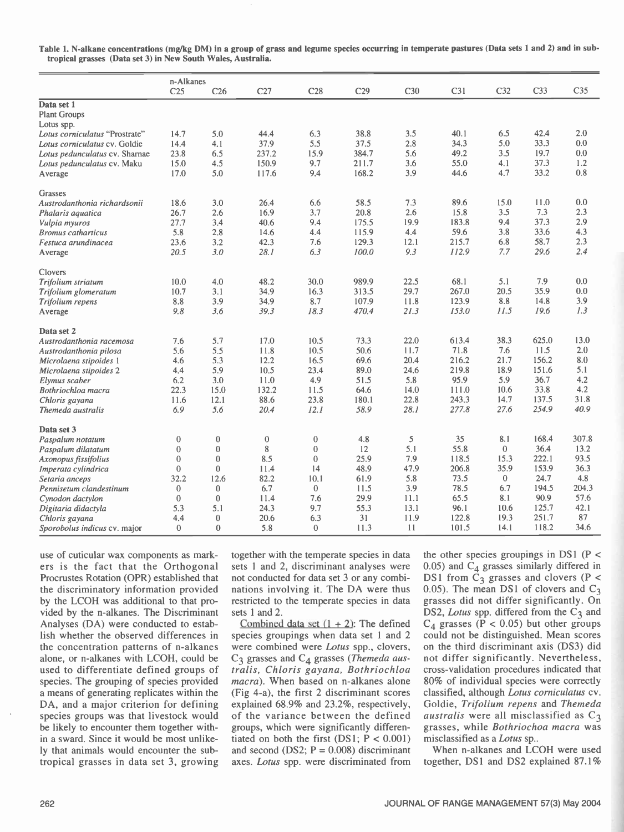Table 1. N- alkane concentrations (mg/kg DM) in a group of grass and legume species occurring in temperate pastures (Data sets 1 and 2) and in subtropical grasses (Data set 3) in New South Wales, Australia.

|                                | n-Alkanes       |                 |          |                 |                 |      |       |                 |                 |                 |
|--------------------------------|-----------------|-----------------|----------|-----------------|-----------------|------|-------|-----------------|-----------------|-----------------|
|                                | C <sub>25</sub> | C <sub>26</sub> | C27      | C <sub>28</sub> | C <sub>29</sub> | C30  | C31   | C <sub>32</sub> | C <sub>33</sub> | C <sub>35</sub> |
| Data set 1                     |                 |                 |          |                 |                 |      |       |                 |                 |                 |
| <b>Plant Groups</b>            |                 |                 |          |                 |                 |      |       |                 |                 |                 |
| Lotus spp.                     |                 |                 |          |                 |                 |      |       |                 |                 |                 |
| Lotus corniculatus "Prostrate" | 14.7            | 5.0             | 44.4     | 6.3             | 38.8            | 3.5  | 40.1  | 6.5             | 42.4            | 2.0             |
| Lotus corniculatus cv. Goldie  | 14.4            | 4.1             | 37.9     | 5.5             | 37.5            | 2.8  | 34.3  | 5.0             | 33.3            | 0.0             |
| Lotus pedunculatus cv. Sharnae | 23.8            | 6.5             | 237.2    | 15.9            | 384.7           | 5.6  | 49.2  | 3.5             | 19.7            | 0.0             |
| Lotus pedunculatus cv. Maku    | 15.0            | 4.5             | 150.9    | 9.7             | 211.7           | 3.6  | 55.0  | 4.1             | 37.3            | 1.2             |
| Average                        | 17.0            | 5.0             | 117.6    | 9.4             | 168.2           | 3.9  | 44.6  | 4.7             | 33.2            | 0.8             |
| Grasses                        |                 |                 |          |                 |                 |      |       |                 |                 |                 |
| Austrodanthonia richardsonii   | 18.6            | 3.0             | 26.4     | 6.6             | 58.5            | 7.3  | 89.6  | 15.0            | 11.0            | 0.0             |
| Phalaris aquatica              | 26.7            | 2.6             | 16.9     | 3.7             | 20.8            | 2.6  | 15.8  | 3.5             | 7.3             | 2.3             |
| Vulpia myuros                  | 27.7            | 3.4             | 40.6     | 9.4             | 175.5           | 19.9 | 183.8 | 9.4             | 37.3            | 2.9             |
| <b>Bromus</b> catharticus      | 5.8             | 2.8             | 14.6     | 4.4             | 115.9           | 4.4  | 59.6  | 3.8             | 33.6            | 4.3             |
| Festuca arundinacea            | 23.6            | 3.2             | 42.3     | 7.6             | 129.3           | 12.1 | 215.7 | 6.8             | 58.7            | 2.3             |
| Average                        | 20.5            | 3.0             | 28.1     | 6,3             | 100.0           | 9.3  | 112.9 | 7.7             | 29.6            | 2.4             |
|                                |                 |                 |          |                 |                 |      |       |                 |                 |                 |
| Clovers                        |                 |                 |          |                 |                 |      |       |                 |                 |                 |
| Trifolium striatum             | 10.0            | 4.0             | 48.2     | 30.0            | 989.9           | 22.5 | 68.1  | 5.1             | 7.9             | 0.0             |
| Trifolium glomeratum           | 10.7            | 3.1             | 34.9     | 16.3            | 313.5           | 29.7 | 267.0 | 20.5            | 35.9            | 0.0             |
| Trifolium repens               | 8.8             | 3.9             | 34.9     | 8.7             | 107.9           | 11.8 | 123.9 | 8.8             | 14.8            | 3.9             |
| Average                        | 9.8             | 3.6             | 39.3     | 18.3            | 470.4           | 21.3 | 153.0 | 11.5            | 19.6            | 1.3             |
| Data set 2                     |                 |                 |          |                 |                 |      |       |                 |                 |                 |
| Austrodanthonia racemosa       | 7.6             | 5.7             | 17.0     | 10.5            | 73.3            | 22.0 | 613.4 | 38.3            | 625.0           | 13.0            |
| Austrodanthonia pilosa         | 5.6             | 5.5             | 11.8     | 10.5            | 50.6            | 11.7 | 71.8  | 7.6             | 11.5            | 2.0             |
| Microlaena stipoides 1         | 4.6             | 5.3             | 12.2     | 16.5            | 69.6            | 20.4 | 216.2 | 21.7            | 156.2           | 8.0             |
| Microlaena stipoides 2         | 4.4             | 5.9             | 10.5     | 23.4            | 89.0            | 24.6 | 219.8 | 18.9            | 151.6           | 5.1             |
| Elymus scaber                  | 6.2             | 3.0             | 11.0     | 4.9             | 51.5            | 5.8  | 95.9  | 5.9             | 36.7            | 4.2             |
| Bothriochloa macra             | 22.3            | 15.0            | 132.2    | 11.5            | 64.6            | 14.0 | 111.0 | 10.6            | 33.8            | 4.2             |
| Chloris gayana                 | 11.6            | 12.1            | 88.6     | 23.8            | 180.1           | 22.8 | 243.3 | 14.7            | 137.5           | 31.8            |
| Themeda australis              | 6.9             | 5.6             | 20.4     | 12.1            | 58.9            | 28.1 | 277.8 | 27.6            | 254.9           | 40.9            |
| Data set 3                     |                 |                 |          |                 |                 |      |       |                 |                 |                 |
| Paspalum notatum               | $\bf{0}$        | $\mathbf{0}$    | $\bf{0}$ | $\bf{0}$        | 4.8             | 5    | 35    | 8.1             | 168.4           | 307.8           |
| Paspalum dilatatum             | $\mathbf{0}$    | $\mathbf{0}$    | 8        | $\overline{0}$  | 12              | 5.1  | 55.8  | $\mathbf{0}$    | 36.4            | 13.2            |
| Axonopus fissifolius           | $\theta$        | $\mathbf{0}$    | 8.5      | $\theta$        | 25.9            | 7.9  | 118.5 | 15.3            | 222.1           | 93.5            |
| Imperata cylindrica            | $\mathbf{0}$    | $\mathbf{0}$    | 11.4     | 14              | 48.9            | 47.9 | 206.8 | 35.9            | 153.9           | 36.3            |
| Setaria anceps                 | 32.2            | 12.6            | 82.2     | 10.1            | 61.9            | 5.8  | 73.5  | $\theta$        | 24.7            | 4.8             |
| Pennisetum clandestinum        | $\mathbf{0}$    | $\mathbf{0}$    | 6.7      | $\mathbf{0}$    | 11.5            | 3.9  | 78.5  | 6.7             | 194.5           | 204.3           |
| Cynodon dactylon               | $\theta$        | $\theta$        | 11.4     | 7.6             | 29.9            | 11.1 | 65.5  | 8.1             | 90.9            | 57.6            |
| Digitaria didactyla            | 5.3             | 5.1             | 24.3     | 9.7             | 55.3            | 13.1 | 96.1  | 10.6            | 125.7           | 42.1            |
| Chloris gayana                 | 4,4             | $\mathbf{0}$    | 20.6     | 6.3             | 31              | 11.9 | 122.8 | 19.3            | 251.7           | 87              |
| Sporobolus indicus cv. major   | $\theta$        | $\theta$        | 5.8      | $\overline{0}$  | 11.3            | 11   | 101.5 | 14.1            | 118.2           | 34.6            |

use of cuticular wax components as mark-<br>ers is the fact that the Orthogonal Procrustes Rotation (OPR) established that the discriminatory information provided by the LCOH was additional to that provided by the n-alkanes. The Discriminant Analyses (DA) were conducted to establish whether the observed differences in the concentration patterns of n- alkanes alone, or n-alkanes with LCOH, could be used to differentiate defined groups of species. The grouping of species provided a means of generating replicates within the DA, and a major criterion for defining species groups was that livestock would be likely to encounter them together within a sward. Since it would be most unlikely that animals would encounter the subtropical grasses in data set 3, growing

together with the temperate species in data sets 1 and 2, discriminant analyses were not conducted for data set 3 or any combinations involving it. The DA were thus restricted to the temperate species in data sets 1 and 2.

Combined data set  $(1 + 2)$ : The defined species groupings when data set 1 and 2 were combined were Lotus spp., clovers,  $C_3$  grasses and  $C_4$  grasses (Themeda australis, Chloris gayana, Bothriochloa macra). When based on n-alkanes alone (Fig 4 -a), the first 2 discriminant scores explained 68.9% and 23.2%, respectively, of the variance between the defined groups, which were significantly differentiated on both the first  $(DS1: P < 0.001)$ and second (DS2;  $P = 0.008$ ) discriminant axes. Lotus spp. were discriminated from

the other species groupings in DS1 (P < 0.05) and  $C_4$  grasses similarly differed in DS1 from  $C_3$  grasses and clovers (P < 0.05). The mean DS1 of clovers and  $C_3$ grasses did not differ significantly. On DS2, Lotus spp. differed from the  $C_3$  and  $C_4$  grasses (P < 0.05) but other groups could not be distinguished. Mean scores on the third discriminant axis (DS3) did not differ significantly. Nevertheless, cross validation procedures indicated that 80% of individual species were correctly classified, although Lotus corniculatus cv. Goldie, Trifolium repens and Themeda *australis* were all misclassified as  $C_3$ grasses, while Bothriochoa macra was misclassified as a Lotus sp..

When n-alkanes and LCOH were used together, DS1 and DS2 explained 87.1%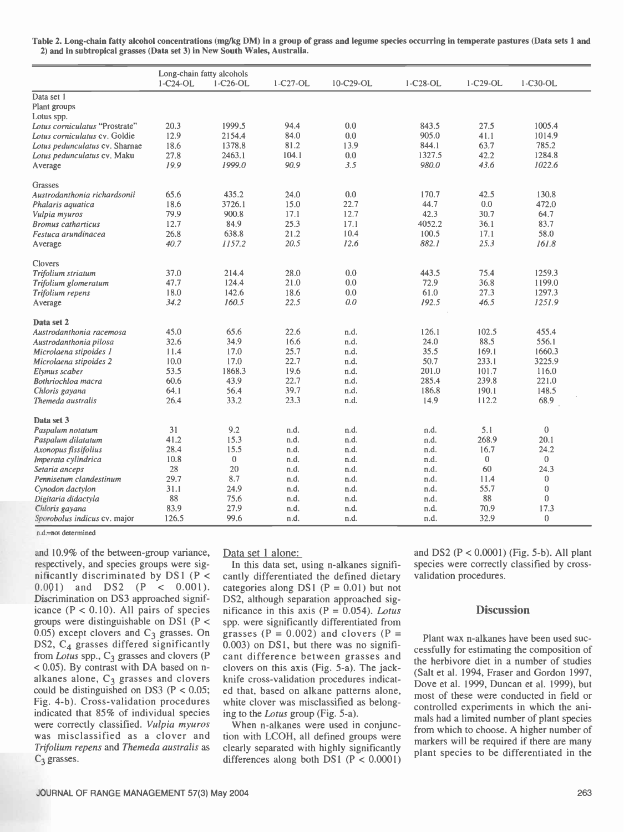Table 2. Long -chain fatty alcohol concentrations (mg/kg DM) in a group of grass and legume species occurring in temperate pastures (Data sets 1 and 2) and in subtropical grasses (Data set 3) in New South Wales, Australia.

|                                | Long-chain fatty alcohols<br>$1-C24-OL$ | $1-C26-OL$   | $1-C27-OL$ | 10-C29-OL | $1-C28-OL$ | $1-C29-OL$   | $1-C30-OL$   |
|--------------------------------|-----------------------------------------|--------------|------------|-----------|------------|--------------|--------------|
| Data set 1                     |                                         |              |            |           |            |              |              |
| Plant groups                   |                                         |              |            |           |            |              |              |
| Lotus spp.                     |                                         |              |            |           |            |              |              |
| Lotus corniculatus "Prostrate" | 20.3                                    | 1999.5       | 94.4       | 0.0       | 843.5      | 27.5         | 1005.4       |
| Lotus corniculatus cv. Goldie  | 12.9                                    | 2154.4       | 84.0       | 0.0       | 905.0      | 41.1         | 1014.9       |
| Lotus pedunculatus cv. Sharnae | 18.6                                    | 1378.8       | 81.2       | 13.9      | 844.1      | 63.7         | 785.2        |
| Lotus pedunculatus cv. Maku    | 27.8                                    | 2463.1       | 104.1      | 0.0       | 1327.5     | 42.2         | 1284.8       |
| Average                        | 19.9                                    | 1999.0       | 90.9       | 3.5       | 980.0      | 43.6         | 1022.6       |
|                                |                                         |              |            |           |            |              |              |
| Grasses                        |                                         |              |            |           |            |              |              |
| Austrodanthonia richardsonii   | 65.6                                    | 435.2        | 24.0       | 0.0       | 170.7      | 42.5         | 130.8        |
| Phalaris aquatica              | 18.6                                    | 3726.1       | 15.0       | 22.7      | 44.7       | 0.0          | 472.0        |
| Vulpia myuros                  | 79.9                                    | 900.8        | 17.1       | 12.7      | 42.3       | 30.7         | 64.7         |
| <b>Bromus</b> catharticus      | 12.7                                    | 84.9         | 25.3       | 17.1      | 4052.2     | 36.1         | 83.7         |
| Festuca arundinacea            | 26.8                                    | 638.8        | 21.2       | 10.4      | 100.5      | 17.1         | 58.0         |
| Average                        | 40.7                                    | 1157.2       | 20.5       | 12.6      | 882.1      | 25.3         | 161.8        |
|                                |                                         |              |            |           |            |              |              |
| <b>Clovers</b>                 |                                         |              |            |           |            |              |              |
| Trifolium striatum             | 37.0                                    | 214.4        | 28.0       | 0.0       | 443.5      | 75.4         | 1259.3       |
| Trifolium glomeratum           | 47.7                                    | 124.4        | 21.0       | 0.0       | 72.9       | 36.8         | 1199.0       |
| Trifolium repens               | 18.0                                    | 142.6        | 18.6       | 0.0       | 61.0       | 27.3         | 1297.3       |
| Average                        | 34.2                                    | 160.5        | 22.5       | 0.0       | 192.5      | 46.5         | 1251.9       |
|                                |                                         |              |            |           |            |              |              |
| Data set 2                     |                                         |              |            |           |            |              |              |
| Austrodanthonia racemosa       | 45.0                                    | 65.6         | 22.6       | n.d.      | 126.1      | 102.5        | 455.4        |
| Austrodanthonia pilosa         | 32.6                                    | 34.9         | 16.6       | n.d.      | 24.0       | 88.5         | 556.1        |
| Microlaena stipoides 1         | 11.4                                    | 17.0         | 25.7       | n.d.      | 35.5       | 169.1        | 1660.3       |
| Microlaena stipoides 2         | 10.0                                    | 17.0         | 22.7       | n.d.      | 50.7       | 233.1        | 3225.9       |
| Elymus scaber                  | 53.5                                    | 1868.3       | 19.6       | n.d.      | 201.0      | 101.7        | 116.0        |
| Bothriochloa macra             | 60.6                                    | 43,9         | 22.7       | n.d.      | 285.4      | 239.8        | 221.0        |
| Chloris gayana                 | 64.1                                    | 56.4         | 39.7       | n.d.      | 186.8      | 190.1        | 148.5        |
| Themeda australis              | 26.4                                    | 33.2         | 23.3       | n.d.      | 14.9       | 112.2        | 68.9         |
| Data set 3                     |                                         |              |            |           |            |              |              |
| Paspalum notatum               | 31                                      | 9.2          | n.d.       | n.d.      | n.d.       | 5.1          | $\mathbf{0}$ |
| Paspalum dilatatum             | 41.2                                    | 15.3         | n.d.       | n.d.      | n.d.       | 268.9        | 20.1         |
| Axonopus fissifolius           | 28.4                                    | 15.5         | n.d.       | n.d.      | n.d.       | 16.7         | 24.2         |
| Imperata cylindrica            | 10.8                                    | $\mathbf{0}$ | n.d.       | n.d.      | n.d.       | $\mathbf{0}$ | $\mathbf{0}$ |
| Setaria anceps                 | 28                                      | 20           | n.d.       | n.d.      | n.d.       | 60           | 24.3         |
| Pennisetum clandestinum        | 29.7                                    | 8.7          | n.d.       | n.d.      | n.d.       | 11.4         | $\bf{0}$     |
| Cynodon dactylon               | 31.1                                    | 24.9         | n.d.       | n.d.      | n.d.       | 55.7         | $\theta$     |
| Digitaria didactyla            | 88                                      | 75.6         | n.d.       | n.d.      | n.d.       | 88           | $\theta$     |
| Chloris gayana                 | 83.9                                    | 27.9         | n.d.       | n.d.      | n.d.       | 70.9         | 17.3         |
| Sporobolus indicus cv. major   | 126.5                                   | 99.6         | n.d.       | n.d.      | n.d.       | 32.9         | $\mathbf{0}$ |
|                                |                                         |              |            |           |            |              |              |

n.d. =not determined

and 10.9% of the between -group variance, respectively, and species groups were significantly discriminated by DS1 (P < 0.001) and DS2 (P < 0.001). Discrimination on DS3 approached significance  $(P < 0.10)$ . All pairs of species groups were distinguishable on DS1 (P < 0.05) except clovers and  $C_3$  grasses. On DS2, C<sub>4</sub> grasses differed significantly from Lotus spp.,  $C_3$  grasses and clovers (P < 0.05). By contrast with DA based on nalkanes alone,  $C_3$  grasses and clovers could be distinguished on DS3 ( $P < 0.05$ ; Fig. 4 -b). Cross validation procedures indicated that 85% of individual species were correctly classified. Vulpia myuros was misclassified as a clover and Trifolium repens and Themeda australis as  $C_3$  grasses.

Data set 1 alone:

In this data set, using n-alkanes significantly differentiated the defined dietary categories along DS1 ( $P = 0.01$ ) but not DS2, although separation approached significance in this axis ( $P = 0.054$ ). Lotus spp. were significantly differentiated from grasses ( $P = 0.002$ ) and clovers ( $P =$ 0.003) on DS1, but there was no significant difference between grasses and clovers on this axis (Fig. 5 -a). The jackknife cross validation procedures indicated that, based on alkane patterns alone, white clover was misclassified as belonging to the *Lotus* group (Fig. 5-a).

When n-alkanes were used in conjunction with LCOH, all defined groups were clearly separated with highly significantly differences along both DS1 (P < 0.0001) and DS2 ( $P < 0.0001$ ) (Fig. 5-b). All plant species were correctly classified by cross validation procedures.

#### **Discussion**

Plant wax n-alkanes have been used successfully for estimating the composition of the herbivore diet in a number of studies (Salt et al. 1994, Fraser and Gordon 1997, Dove et al. 1999, Duncan et al. 1999), but most of these were conducted in field or controlled experiments in which the animals had a limited number of plant species from which to choose. A higher number of markers will be required if there are many plant species to be differentiated in the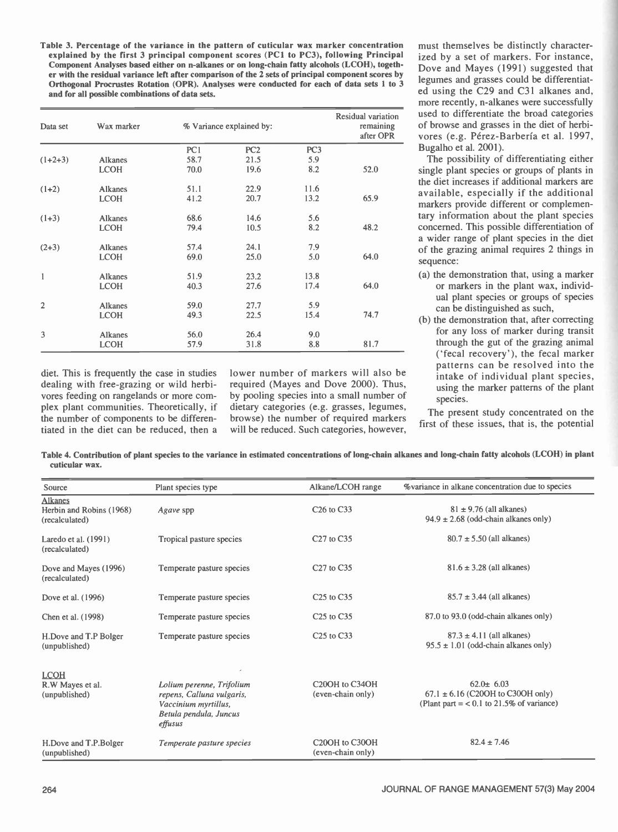Table 3. Percentage of the variance in the pattern of cuticular wax marker concentration explained by the first 3 principal component scores (PC1 to PC3), following Principal Component Analyses based either on n- alkanes or on long -chain fatty alcohols (LCOH), together with the residual variance left after comparison of the 2 sets of principal component scores by Orthogonal Procrustes Rotation (OPR). Analyses were conducted for each of data sets 1 to 3 and for all possible combinations of data sets.

| Data set       | Wax marker     | % Variance explained by: | Residual variation<br>remaining<br>after OPR |                 |      |
|----------------|----------------|--------------------------|----------------------------------------------|-----------------|------|
|                |                | PC1                      | PC <sub>2</sub>                              | PC <sub>3</sub> |      |
| $(1+2+3)$      | <b>Alkanes</b> | 58.7                     | 21.5                                         | 5.9             |      |
|                | <b>LCOH</b>    | 70.0                     | 19.6                                         | 8.2             | 52.0 |
| $(1+2)$        | Alkanes        | 51.1                     | 22.9                                         | 11.6            |      |
|                | <b>LCOH</b>    | 41.2                     | 20.7                                         | 13.2            | 65.9 |
| $(1+3)$        | Alkanes        | 68.6                     | 14.6                                         | 5.6             |      |
|                | <b>LCOH</b>    | 79.4                     | 10.5                                         | 8.2             | 48.2 |
| $(2+3)$        | Alkanes        | 57.4                     | 24.1                                         | 7.9             |      |
|                | <b>LCOH</b>    | 69.0                     | 25.0                                         | 5.0             | 64.0 |
| 1              | <b>Alkanes</b> | 51.9                     | 23.2                                         | 13.8            |      |
|                | <b>LCOH</b>    | 40.3                     | 27.6                                         | 17.4            | 64.0 |
| $\overline{2}$ | Alkanes        | 59.0                     | 27.7                                         | 5.9             |      |
|                | <b>LCOH</b>    | 49.3                     | 22.5                                         | 15.4            | 74.7 |
| 3              | Alkanes        | 56.0                     | 26.4                                         | 9.0             |      |
|                | <b>LCOH</b>    | 57.9                     | 31.8                                         | 8.8             | 81.7 |

diet. This is frequently the case in studies dealing with free grazing or wild herbivores feeding on rangelands or more complex plant communities. Theoretically, if the number of components to be differentiated in the diet can be reduced, then a lower number of markers will also be required (Mayes and Dove 2000). Thus, by pooling species into a small number of dietary categories (e.g. grasses, legumes, browse) the number of required markers will be reduced. Such categories, however,

remaining of browse and grasses in the diet of herbiafter OPR vores (e.g. Pérez- Barbería et al. 1997, must themselves be distinctly characterized by a set of markers. For instance, Dove and Mayes (1991) suggested that legumes and grasses could be differentiated using the C29 and C31 alkanes and, more recently, n-alkanes were successfully used to differentiate the broad categories Bugalho et al. 2001).

The possibility of differentiating either single plant species or groups of plants in the diet increases if additional markers are available, especially if the additional markers provide different or complementary information about the plant species concerned. This possible differentiation of a wider range of plant species in the diet of the grazing animal requires 2 things in sequence:

- (a) the demonstration that, using a marker or markers in the plant wax, individual plant species or groups of species can be distinguished as such,
- (b) the demonstration that, after correcting for any loss of marker during transit through the gut of the grazing animal ('fecal recovery'), the fecal marker patterns can be resolved into the intake of individual plant species, using the marker patterns of the plant species.

The present study concentrated on the first of these issues, that is, the potential

Table 4. Contribution of plant species to the variance in estimated concentrations of long -chain alkanes and long -chain fatty alcohols (LCOH) in plant cuticular wax.

| Source                                                       | Plant species type                                                                                                  | Alkane/LCOH range                                             | % variance in alkane concentration due to species                                                       |
|--------------------------------------------------------------|---------------------------------------------------------------------------------------------------------------------|---------------------------------------------------------------|---------------------------------------------------------------------------------------------------------|
| <b>Alkanes</b><br>Herbin and Robins (1968)<br>(recalculated) | Agave spp                                                                                                           | $C26$ to $C33$                                                | $81 \pm 9.76$ (all alkanes)<br>$94.9 \pm 2.68$ (odd-chain alkanes only)                                 |
| Laredo et al. $(1991)$<br>(recalculated)                     | Tropical pasture species                                                                                            | $C27$ to $C35$                                                | $80.7 \pm 5.50$ (all alkanes)                                                                           |
| Dove and Mayes (1996)<br>(recalculated)                      | Temperate pasture species                                                                                           | $C27$ to $C35$                                                | $81.6 \pm 3.28$ (all alkanes)                                                                           |
| Dove et al. (1996)                                           | Temperate pasture species                                                                                           | $C25$ to $C35$                                                | $85.7 \pm 3.44$ (all alkanes)                                                                           |
| Chen et al. (1998)                                           | Temperate pasture species                                                                                           | $C25$ to $C35$                                                | 87.0 to 93.0 (odd-chain alkanes only)                                                                   |
| H.Dove and T.P Bolger<br>(unpublished)                       | Temperate pasture species                                                                                           | $C25$ to $C33$                                                | $87.3 \pm 4.11$ (all alkanes)<br>$95.5 \pm 1.01$ (odd-chain alkanes only)                               |
| <b>LCOH</b><br>R.W Mayes et al.<br>(unpublished)             | Lolium perenne, Trifolium<br>repens, Calluna vulgaris,<br>Vaccinium myrtillus,<br>Betula pendula, Juncus<br>effusus | C <sub>20</sub> OH to C <sub>34</sub> OH<br>(even-chain only) | $62.0 \pm 6.03$<br>$67.1 \pm 6.16$ (C20OH to C30OH only)<br>(Plant part = $< 0.1$ to 21.5% of variance) |
| H.Dove and T.P.Bolger<br>(unpublished)                       | Temperate pasture species                                                                                           | C <sub>20</sub> OH to C <sub>30</sub> OH<br>(even-chain only) | $82.4 \pm 7.46$                                                                                         |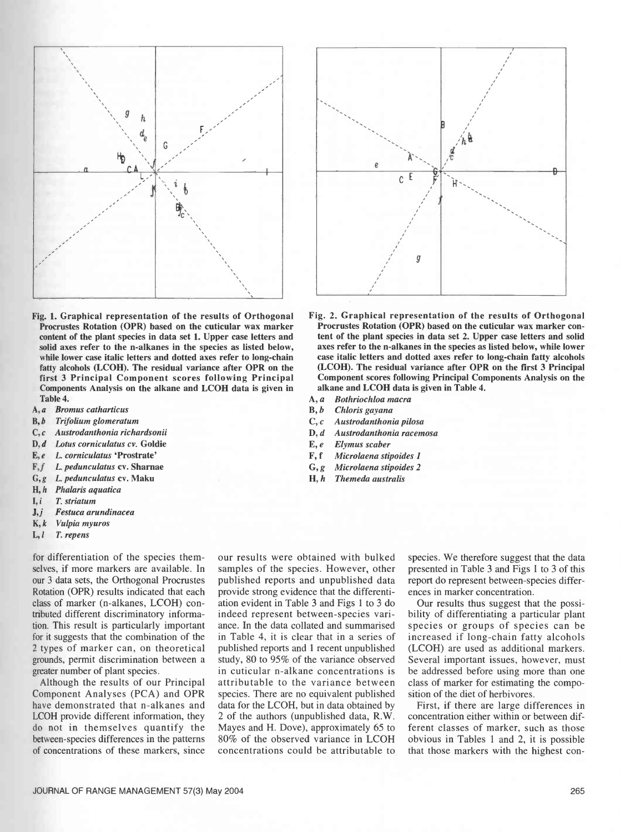

- Fig. 1. Graphical representation of the results of Orthogonal Procrustes Rotation (OPR) based on the cuticular wax marker content of the plant species in data set 1. Upper case letters and solid axes refer to the n-alkanes in the species as listed below, while lower case italic letters and dotted axes refer to long-chain fatty alcohols (LCOH). The residual variance after OPR on the first 3 Principal Component scores following Principal Components Analysis on the alkane and LCOH data is given in Table 4.
- A, a Bromus catharticus
- B, b Trifolium glomeratum
- C, c Austrodanthonia richardsonii
- D, d Lotus corniculatus cv. Goldie
- E, e L. corniculatus `Prostrate'
- F,f L. pedunculatus cv. Sharnae
- G, g L. pedunculatus cv. Maku
- H, h Phalaris aquatica
- I, i T. striatum
- J,j Festuca arundinacea
- K, k Vulpia myuros
- L, l T. repens

for differentiation of the species themselves, if more markers are available. In our 3 data sets, the Orthogonal Procrustes Rotation (OPR) results indicated that each class of marker (n-alkanes, LCOH) contributed different discriminatory information. This result is particularly important for it suggests that the combination of the 2 types of marker can, on theoretical grounds, permit discrimination between a greater number of plant species.

Although the results of our Principal Component Analyses (PCA) and OPR have demonstrated that n-alkanes and LCOH provide different information, they do not in themselves quantify the between species differences in the patterns of concentrations of these markers, since

our results were obtained with bulked samples of the species. However, other published reports and unpublished data provide strong evidence that the differentiation evident in Table 3 and Figs 1 to 3 do indeed represent between species variance. In the data collated and summarised in Table 4, it is clear that in a series of published reports and 1 recent unpublished study, 80 to 95% of the variance observed in cuticular n- alkane concentrations is attributable to the variance between species. There are no equivalent published data for the LCOH, but in data obtained by 2 of the authors (unpublished data, R.W. Mayes and H. Dove), approximately 65 to 80% of the observed variance in LCOH concentrations could be attributable to



- Fig. 2. Graphical representation of the results of Orthogonal Procrustes Rotation (OPR) based on the cuticular wax marker content of the plant species in data set 2. Upper case letters and solid axes refer to the n-alkanes in the species as listed below, while lower case italic letters and dotted axes refer to long -chain fatty alcohols (LCOH). The residual variance after OPR on the first 3 Principal Component scores following Principal Components Analysis on the alkane and LCOH data is given in Table 4.
- A, a Bothriochloa macra
- B, b Chloris gayana
- C, c Austrodanthonia pilosa
	- D, d Austrodanthonia racemosa
	- E, e Elymus scaber
	- F, f Microlaena stipoides 1
	- G,g Microlaena stipoides 2
	- H, h Themeda australis

species. We therefore suggest that the data presented in Table 3 and Figs 1 to 3 of this report do represent between species differences in marker concentration.

Our results thus suggest that the possibility of differentiating a particular plant species or groups of species can be increased if long-chain fatty alcohols (LCOH) are used as additional markers. Several important issues, however, must be addressed before using more than one class of marker for estimating the composition of the diet of herbivores.

First, if there are large differences in concentration either within or between different classes of marker, such as those obvious in Tables 1 and 2, it is possible that those markers with the highest con-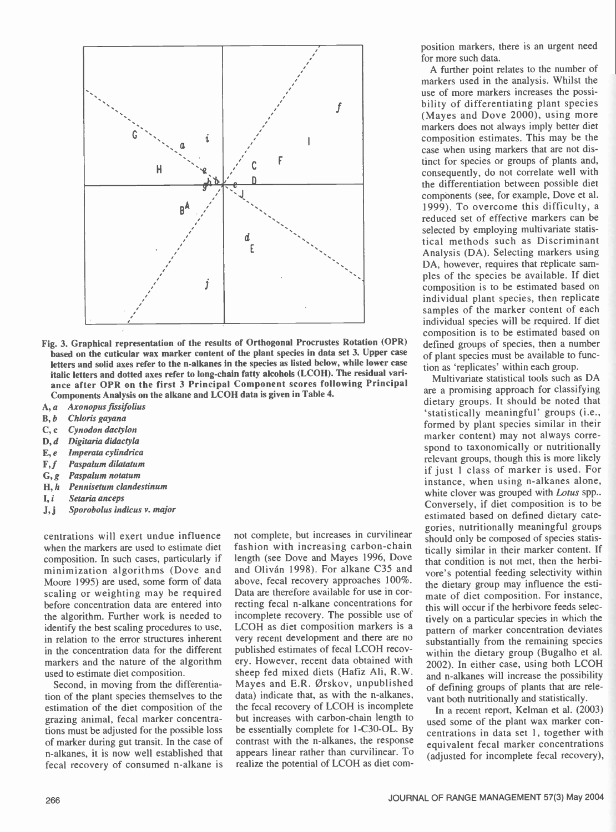

- Fig. 3. Graphical representation of the results of Orthogonal Procrustes Rotation (OPR) based on the cuticular wax marker content of the plant species in data set 3. Upper case letters and solid axes refer to the n-alkanes in the species as listed below, while lower case italic letters and dotted axes refer to long-chain fatty alcohols (LCOH). The residual variance after OPR on the first 3 Principal Component scores following Principal Components Analysis on the alkane and LCOH data is given in Table 4.
- A, a Axonopus fissifolius
- B, b Chloris gayana
- C, c Cynodon dactylon
- D, d Digitaria didactyla
- E, e Imperata cylindrica
- F,f Paspalum dilatatum
- G, g Paspalum notatum
- H, h Pennisetum clandestinum
- I, i Setaria anceps
- J, j Sporobolus indicus v. major

centrations will exert undue influence when the markers are used to estimate diet composition. In such cases, particularly if minimization algorithms (Dove and Moore 1995) are used, some form of data scaling or weighting may be required before concentration data are entered into the algorithm. Further work is needed to identify the best scaling procedures to use, in relation to the error structures inherent in the concentration data for the different markers and the nature of the algorithm used to estimate diet composition.

Second, in moving from the differentiation of the plant species themselves to the estimation of the diet composition of the grazing animal, fecal marker concentrations must be adjusted for the possible loss of marker during gut transit. In the case of n- alkanes, it is now well established that fecal recovery of consumed n-alkane is not complete, but increases in curvilinear fashion with increasing carbon -chain length (see Dove and Mayes 1996, Dove and Oliván 1998). For alkane C35 and above, fecal recovery approaches 100%. Data are therefore available for use in correcting fecal n- alkane concentrations for incomplete recovery. The possible use of LCOH as diet composition markers is a very recent development and there are no published estimates of fecal LCOH recovery. However, recent data obtained with sheep fed mixed diets (Hafiz Ali, R.W. Mayes and E.R. Orskov, unpublished data) indicate that, as with the n-alkanes, the fecal recovery of LCOH is incomplete but increases with carbon -chain length to be essentially complete for 1-C30-OL. By contrast with the n-alkanes, the response appears linear rather than curvilinear. To realize the potential of LCOH as diet composition markers, there is an urgent need for more such data.

A further point relates to the number of markers used in the analysis. Whilst the use of more markers increases the possibility of differentiating plant species (Mayes and Dove 2000), using more markers does not always imply better diet composition estimates. This may be the case when using markers that are not distinct for species or groups of plants and, consequently, do not correlate well with the differentiation between possible diet components (see, for example, Dove et al. 1999). To overcome this difficulty, a reduced set of effective markers can be selected by employing multivariate statistical methods such as Discriminant Analysis (DA). Selecting markers using DA, however, requires that replicate samples of the species be available. If diet composition is to be estimated based on individual plant species, then replicate samples of the marker content of each individual species will be required. If diet composition is to be estimated based on defined groups of species, then a number of plant species must be available to function as `replicates' within each group.

Multivariate statistical tools such as DA are a promising approach for classifying dietary groups. It should be noted that `statistically meaningful' groups (i.e., formed by plant species similar in their marker content) may not always correspond to taxonomically or nutritionally relevant groups, though this is more likely if just 1 class of marker is used. For instance, when using n-alkanes alone, white clover was grouped with Lotus spp.. Conversely, if diet composition is to be estimated based on defined dietary categories, nutritionally meaningful groups should only be composed of species statistically similar in their marker content. If that condition is not met, then the herbivore's potential feeding selectivity within the dietary group may influence the estimate of diet composition. For instance, this will occur if the herbivore feeds selectively on a particular species in which the pattern of marker concentration deviates substantially from the remaining species within the dietary group (Bugalho et al. 2002). In either case, using both LCOH and n-alkanes will increase the possibility of defining groups of plants that are relevant both nutritionally and statistically.

In a recent report, Kelman et al. (2003) used some of the plant wax marker concentrations in data set 1, together with equivalent fecal marker concentrations (adjusted for incomplete fecal recovery),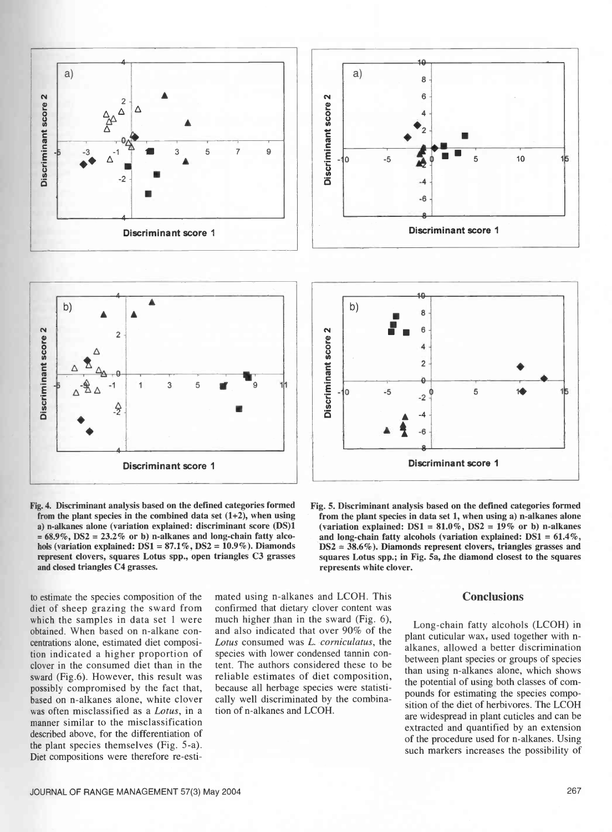

Fig. 4. Discriminant analysis based on the defined categories formed from the plant species in the combined data set  $(1+2)$ , when using a) n- alkanes alone (variation explained: discriminant score (DS)1  $= 68.9\%, DS2 = 23.2\%$  or b) n-alkanes and long-chain fatty alcohols (variation explained:  $DS1 = 87.1\%$ ,  $DS2 = 10.9\%$ ). Diamonds represent clovers, squares Lotus spp., open triangles C3 grasses and closed triangles C4 grasses.

to estimate the species composition of the diet of sheep grazing the sward from which the samples in data set 1 were obtained. When based on n-alkane concentrations alone, estimated diet composition indicated a higher proportion of clover in the consumed diet than in the sward (Fig.6). However, this result was possibly compromised by the fact that, based on n- alkanes alone, white clover was often misclassified as a Lotus, in a manner similar to the misclassification described above, for the differentiation of the plant species themselves (Fig. 5 -a). Diet compositions were therefore re -estimated using n-alkanes and LCOH. This confirmed that dietary clover content was much higher than in the sward (Fig. 6), and also indicated that over 90% of the Lotus consumed was L. corniculatus, the species with lower condensed tannin content. The authors considered these to be reliable estimates of diet composition, because all herbage species were statistically well discriminated by the combination of n-alkanes and LCOH.



#### **Conclusions**

Long -chain fatty alcohols (LCOH) in plant cuticular wax, used together with nalkanes, allowed a better discrimination between plant species or groups of species than using n-alkanes alone, which shows the potential of using both classes of compounds for estimating the species composition of the diet of herbivores. The LCOH are widespread in plant cuticles and can be extracted and quantified by an extension of the procedure used for n- alkanes. Using such markers increases the possibility of